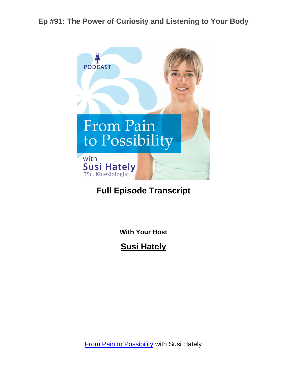

# **Full Episode Transcript**

**With Your Host**

**Susi Hately**

**[From Pain to Possibility](https://www.functionalsynergy.com/podcast/) with Susi Hately**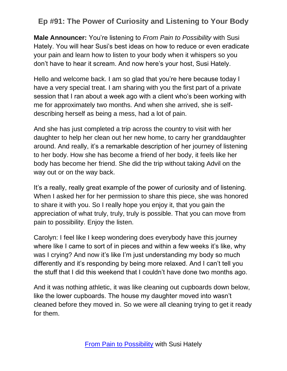**Male Announcer:** You're listening to *From Pain to Possibility* with Susi Hately. You will hear Susi's best ideas on how to reduce or even eradicate your pain and learn how to listen to your body when it whispers so you don't have to hear it scream. And now here's your host, Susi Hately.

Hello and welcome back. I am so glad that you're here because today I have a very special treat. I am sharing with you the first part of a private session that I ran about a week ago with a client who's been working with me for approximately two months. And when she arrived, she is selfdescribing herself as being a mess, had a lot of pain.

And she has just completed a trip across the country to visit with her daughter to help her clean out her new home, to carry her granddaughter around. And really, it's a remarkable description of her journey of listening to her body. How she has become a friend of her body, it feels like her body has become her friend. She did the trip without taking Advil on the way out or on the way back.

It's a really, really great example of the power of curiosity and of listening. When I asked her for her permission to share this piece, she was honored to share it with you. So I really hope you enjoy it, that you gain the appreciation of what truly, truly, truly is possible. That you can move from pain to possibility. Enjoy the listen.

Carolyn: I feel like I keep wondering does everybody have this journey where like I came to sort of in pieces and within a few weeks it's like, why was I crying? And now it's like I'm just understanding my body so much differently and it's responding by being more relaxed. And I can't tell you the stuff that I did this weekend that I couldn't have done two months ago.

And it was nothing athletic, it was like cleaning out cupboards down below, like the lower cupboards. The house my daughter moved into wasn't cleaned before they moved in. So we were all cleaning trying to get it ready for them.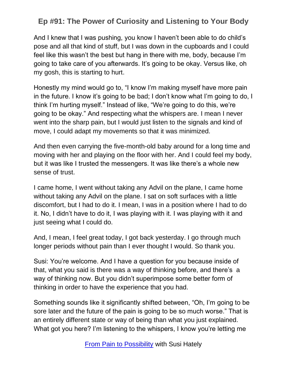And I knew that I was pushing, you know I haven't been able to do child's pose and all that kind of stuff, but I was down in the cupboards and I could feel like this wasn't the best but hang in there with me, body, because I'm going to take care of you afterwards. It's going to be okay. Versus like, oh my gosh, this is starting to hurt.

Honestly my mind would go to, "I know I'm making myself have more pain in the future. I know it's going to be bad; I don't know what I'm going to do, I think I'm hurting myself." Instead of like, "We're going to do this, we're going to be okay." And respecting what the whispers are. I mean I never went into the sharp pain, but I would just listen to the signals and kind of move, I could adapt my movements so that it was minimized.

And then even carrying the five-month-old baby around for a long time and moving with her and playing on the floor with her. And I could feel my body, but it was like I trusted the messengers. It was like there's a whole new sense of trust.

I came home, I went without taking any Advil on the plane, I came home without taking any Advil on the plane. I sat on soft surfaces with a little discomfort, but I had to do it. I mean, I was in a position where I had to do it. No, I didn't have to do it, I was playing with it. I was playing with it and just seeing what I could do.

And, I mean, I feel great today, I got back yesterday. I go through much longer periods without pain than I ever thought I would. So thank you.

Susi: You're welcome. And I have a question for you because inside of that, what you said is there was a way of thinking before, and there's a way of thinking now. But you didn't superimpose some better form of thinking in order to have the experience that you had.

Something sounds like it significantly shifted between, "Oh, I'm going to be sore later and the future of the pain is going to be so much worse." That is an entirely different state or way of being than what you just explained. What got you here? I'm listening to the whispers, I know you're letting me

[From Pain to Possibility](https://www.functionalsynergy.com/podcast/) with Susi Hately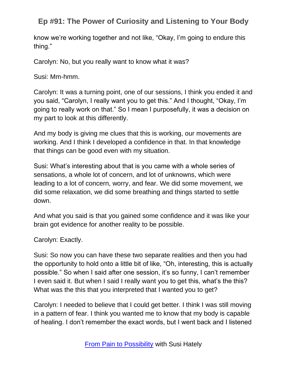know we're working together and not like, "Okay, I'm going to endure this thing."

Carolyn: No, but you really want to know what it was?

Susi: Mm-hmm.

Carolyn: It was a turning point, one of our sessions, I think you ended it and you said, "Carolyn, I really want you to get this." And I thought, "Okay, I'm going to really work on that." So I mean I purposefully, it was a decision on my part to look at this differently.

And my body is giving me clues that this is working, our movements are working. And I think I developed a confidence in that. In that knowledge that things can be good even with my situation.

Susi: What's interesting about that is you came with a whole series of sensations, a whole lot of concern, and lot of unknowns, which were leading to a lot of concern, worry, and fear. We did some movement, we did some relaxation, we did some breathing and things started to settle down.

And what you said is that you gained some confidence and it was like your brain got evidence for another reality to be possible.

Carolyn: Exactly.

Susi: So now you can have these two separate realities and then you had the opportunity to hold onto a little bit of like, "Oh, interesting, this is actually possible." So when I said after one session, it's so funny, I can't remember I even said it. But when I said I really want you to get this, what's the this? What was the this that you interpreted that I wanted you to get?

Carolyn: I needed to believe that I could get better. I think I was still moving in a pattern of fear. I think you wanted me to know that my body is capable of healing. I don't remember the exact words, but I went back and I listened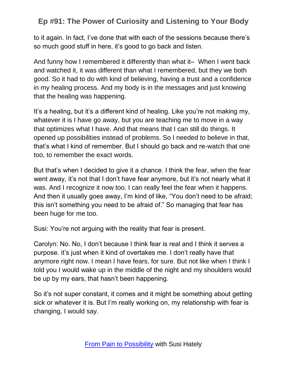to it again. In fact, I've done that with each of the sessions because there's so much good stuff in here, it's good to go back and listen.

And funny how I remembered it differently than what it– When I went back and watched it, it was different than what I remembered, but they we both good. So it had to do with kind of believing, having a trust and a confidence in my healing process. And my body is in the messages and just knowing that the healing was happening.

It's a healing, but it's a different kind of healing. Like you're not making my, whatever it is I have go away, but you are teaching me to move in a way that optimizes what I have. And that means that I can still do things. It opened up possibilities instead of problems. So I needed to believe in that, that's what I kind of remember. But I should go back and re-watch that one too, to remember the exact words.

But that's when I decided to give it a chance. I think the fear, when the fear went away, it's not that I don't have fear anymore, but it's not nearly what it was. And I recognize it now too. I can really feel the fear when it happens. And then it usually goes away, I'm kind of like, "You don't need to be afraid; this isn't something you need to be afraid of." So managing that fear has been huge for me too.

Susi: You're not arguing with the reality that fear is present.

Carolyn: No. No, I don't because I think fear is real and I think it serves a purpose. it's just when it kind of overtakes me. I don't really have that anymore right now. I mean I have fears, for sure. But not like when I think I told you I would wake up in the middle of the night and my shoulders would be up by my ears, that hasn't been happening.

So it's not super constant, it comes and it might be something about getting sick or whatever it is. But I'm really working on, my relationship with fear is changing, I would say.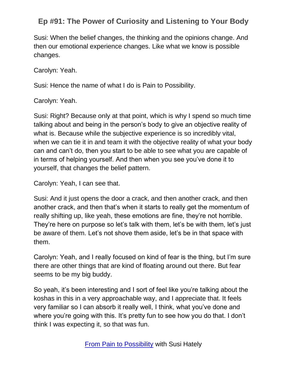Susi: When the belief changes, the thinking and the opinions change. And then our emotional experience changes. Like what we know is possible changes.

Carolyn: Yeah.

Susi: Hence the name of what I do is Pain to Possibility.

Carolyn: Yeah.

Susi: Right? Because only at that point, which is why I spend so much time talking about and being in the person's body to give an objective reality of what is. Because while the subjective experience is so incredibly vital, when we can tie it in and team it with the objective reality of what your body can and can't do, then you start to be able to see what you are capable of in terms of helping yourself. And then when you see you've done it to yourself, that changes the belief pattern.

Carolyn: Yeah, I can see that.

Susi: And it just opens the door a crack, and then another crack, and then another crack, and then that's when it starts to really get the momentum of really shifting up, like yeah, these emotions are fine, they're not horrible. They're here on purpose so let's talk with them, let's be with them, let's just be aware of them. Let's not shove them aside, let's be in that space with them.

Carolyn: Yeah, and I really focused on kind of fear is the thing, but I'm sure there are other things that are kind of floating around out there. But fear seems to be my big buddy.

So yeah, it's been interesting and I sort of feel like you're talking about the koshas in this in a very approachable way, and I appreciate that. It feels very familiar so I can absorb it really well, I think, what you've done and where you're going with this. It's pretty fun to see how you do that. I don't think I was expecting it, so that was fun.